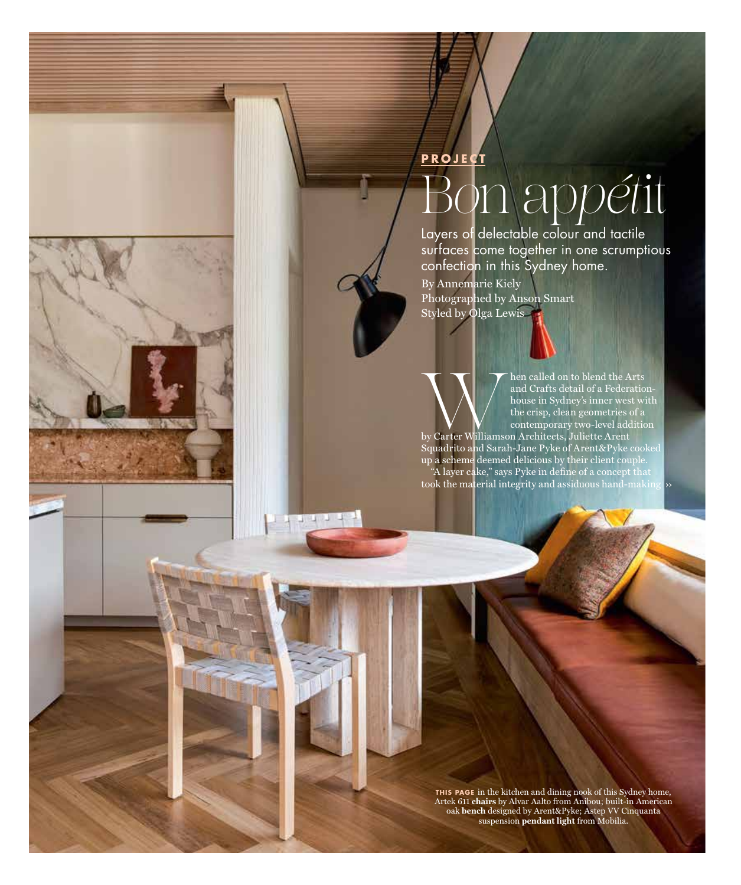## **PROJECT** B*o*n ap*pét*it

Layers of delectable colour and tactile surfaces come together in one scrumptious confection in this Sydney home.

By Annemarie Kiely Photographed by Anson Smart Styled by Olga Lewis

 $11111$ 

Mand Crafts detail of a Federation and Crafts detail of a Federation bouse in Sydney's inner west with errisp, clean geometries of a contemporary two-level additional by Carter Williamson Architects, Juliette Arent and Crafts detail of a Federationhouse in Sydney's inner west with the crisp, clean geometries of a contemporary two-level addition

by Carter Williamson Architects, Juliette Arent Squadrito and Sarah-Jane Pyke of Arent&Pyke cooked up a scheme deemed delicious by their client couple. "A layer cake," says Pyke in define of a concept that took the material integrity and assiduous hand-making ››

**THIS PAGE** in the kitchen and dining nook of this Sydney home, Artek 611 **chairs** by Alvar Aalto from Anibou; built-in American oak **bench** designed by Arent&Pyke; Astep VV Cinquanta suspension **pendant light** from Mobilia.

Mar/Apr 2022 175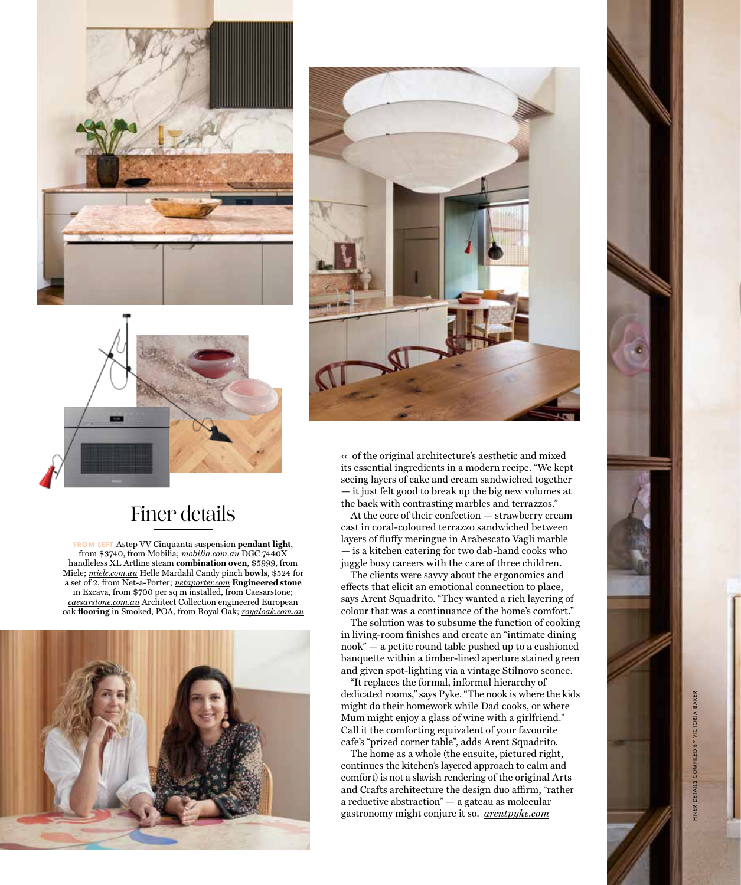





## Finer details

**FROM LEFT** Astep VV Cinquanta suspension **pendant light**, from \$3740, from Mobilia; *mobilia.com.au* DGC 7440X handleless XL Artline steam **combination oven**, \$5999, from Miele; *miele.com.au* Helle Mardahl Candy pinch **bowls**, \$524 for a set of 2, from Net-a-Porter; *netaporter.com* **Engineered stone** in Excava, from \$700 per sq m installed, from Caesarstone; *caesarstone.com.au* Architect Collection engineered European oak **flooring** in Smoked, POA, from Royal Oak; *royaloak.com.au*



 $\kappa$  of the original architecture's aesthetic and mixed its essential ingredients in a modern recipe. "We kept seeing layers of cake and cream sandwiched together — it just felt good to break up the big new volumes at the back with contrasting marbles and terrazzos."

At the core of their confection — strawberry cream cast in coral-coloured terrazzo sandwiched between layers of fluffy meringue in Arabescato Vagli marble — is a kitchen catering for two dab-hand cooks who juggle busy careers with the care of three children.

The clients were savvy about the ergonomics and effects that elicit an emotional connection to place, says Arent Squadrito. "They wanted a rich layering of colour that was a continuance of the home's comfort."

The solution was to subsume the function of cooking in living-room finishes and create an "intimate dining nook" — a petite round table pushed up to a cushioned banquette within a timber-lined aperture stained green and given spot-lighting via a vintage Stilnovo sconce.

"It replaces the formal, informal hierarchy of dedicated rooms," says Pyke. "The nook is where the kids might do their homework while Dad cooks, or where Mum might enjoy a glass of wine with a girlfriend." Call it the comforting equivalent of your favourite cafe's "prized corner table", adds Arent Squadrito.

The home as a whole (the ensuite, pictured right, continues the kitchen's layered approach to calm and comfort) is not a slavish rendering of the original Arts and Crafts architecture the design duo affirm, "rather a reductive abstraction" — a gateau as molecular gastronomy might conjure it so . *arentpyke.com*